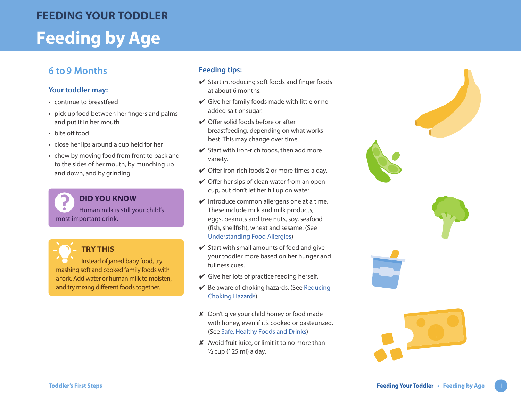# **Feeding by Age FEEDING YOUR TODDLER**

# **6 to9 Months**

### **Your toddler may:**

- continue to breastfeed
- pick up food between her fingers and palms and put it in her mouth
- bite off food
- close her lips around a cup held for her
- chew by moving food from front to back and to the sides of her mouth, by munching up and down, and by grinding

**DID YOU KNOW** Human milk is still your child's most important drink.



Instead of jarred baby food, try mashing soft and cooked family foods with a fork. Add water or human milk to moisten, and try mixing different foods together.

### **Feeding tips:**

- $\checkmark$  Start introducing soft foods and finger foods at about 6 months.
- $\vee$  Give her family foods made with little or no added salt or sugar.
- $\vee$  Offer solid foods before or after breastfeeding, depending on what works best. This may change over time.
- $\checkmark$  Start with iron-rich foods, then add more variety.
- $\vee$  Offer iron-rich foods 2 or more times a day.
- $\vee$  Offer her sips of clean water from an open cup, but don't let her fill up on water.
- $\vee$  Introduce common allergens one at a time. These include milk and milk products, eggs, peanuts and tree nuts, soy, seafood (fish, shellfish), wheat and sesame. (See [Understanding Food Allergies](https://www.healthlinkbc.ca/sites/default/files/documents/TFS_food-allergies.pdf) )
- $\checkmark$  Start with small amounts of food and give your toddler more based on her hunger and fullness cues.
- $\vee$  Give her lots of practice feeding herself.
- $\vee$  Be aware of choking hazards. (See Reducing [Choking Hazards](https://www.healthlinkbc.ca/sites/default/files/documents/TFS_choking-hazards.pdf) )
- ✘ Don't give your child honey or food made with honey, even if it's cooked or pasteurized. (See [Safe, Healthy Foods and Drinks](https://www.healthlinkbc.ca/sites/default/files/documents/TFS_safe-foods.pdf) )
- ✘ Avoid fruit juice, or limit it to no more than  $\frac{1}{2}$  cup (125 ml) a day.







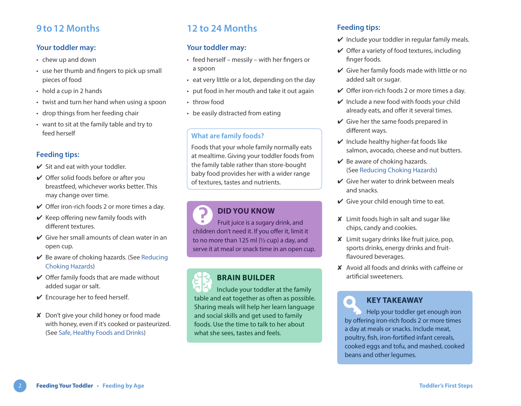### **9to12 Months**

### **Your toddler may:**

- chew up and down
- use her thumb and fingers to pick up small pieces of food
- hold a cup in 2 hands
- twist and turn her hand when using a spoon
- drop things from her feeding chair
- want to sit at the family table and try to feed herself

### **Feeding tips:**

- $\checkmark$  Sit and eat with your toddler.
- $\vee$  Offer solid foods before or after you breastfeed, whichever works better. This may change over time.
- $\vee$  Offer iron-rich foods 2 or more times a day.
- $\vee$  Keep offering new family foods with different textures.
- $\vee$  Give her small amounts of clean water in an open cup.
- $\vee$  Be aware of choking hazards. (See Reducing [Choking Hazards](https://www.healthlinkbc.ca/sites/default/files/documents/TFS_choking-hazards.pdf))
- $\vee$  Offer family foods that are made without added sugar or salt.
- $\vee$  Encourage her to feed herself.
- ✘ Don't give your child honey or food made with honey, even if it's cooked or pasteurized. (See [Safe, Healthy Foods and Drinks\)](https://www.healthlinkbc.ca/sites/default/files/documents/TFS_safe-foods.pdf)

# **12 to 24 Months**

### **Your toddler may:**

- feed herself messily with her fingers or a spoon
- eat very little or a lot, depending on the day
- put food in her mouth and take it out again
- throw food
- be easily distracted from eating

### **What are family foods?**

Foods that your whole family normally eats at mealtime. Giving your toddler foods from the family table rather than store-bought baby food provides her with a wider range of textures, tastes and nutrients.

### **DID YOU KNOW**

Fruit juice is a sugary drink, and children don't need it. If you offer it, limit it to no more than 125 ml  $(1/2)$  cup) a day, and serve it at meal or snack time in an open cup.

# **BRAIN BUILDER**

Include your toddler at the family table and eat together as often as possible. Sharing meals will help her learn language and social skills and get used to family foods. Use the time to talk to her about what she sees, tastes and feels.

### **Feeding tips:**

- $\vee$  Include your toddler in regular family meals.
- $\vee$  Offer a variety of food textures, including finger foods.
- $\vee$  Give her family foods made with little or no added salt or sugar.
- $\vee$  Offer iron-rich foods 2 or more times a day.
- $\vee$  Include a new food with foods your child already eats, and offer it several times.
- $\checkmark$  Give her the same foods prepared in different ways.
- $\vee$  Include healthy higher-fat foods like salmon, avocado, cheese and nut butters.
- $\vee$  Be aware of choking hazards. (See [Reducing Choking Hazards\)](https://www.healthlinkbc.ca/sites/default/files/documents/TFS_choking-hazards.pdf)
- $\vee$  Give her water to drink between meals and snacks.
- $\checkmark$  Give your child enough time to eat.
- ✘ Limit foods high in salt and sugar like chips, candy and cookies.
- ✘ Limit sugary drinks like fruit juice, pop, sports drinks, energy drinks and fruitflavoured beverages.
- ✘ Avoid all foods and drinks with caffeine or artificial sweeteners.

### **KEY TAKEAWAY**

 $\bullet$ 

Help your toddler get enough iron by offering iron-rich foods 2 or more times a day at meals or snacks. Include meat, poultry, fish, iron-fortified infant cereals, cooked eggs and tofu, and mashed, cooked beans and other legumes.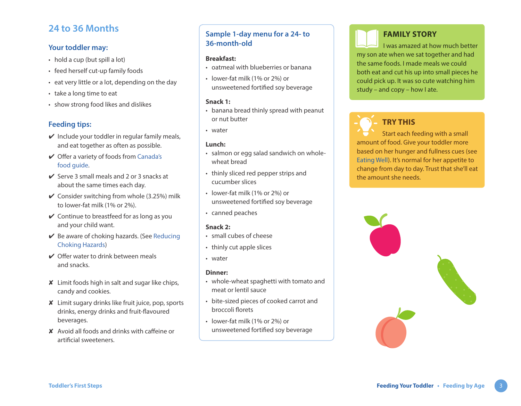### **24 to 36 Months**

### **Your toddler may:**

- hold a cup (but spill a lot)
- feed herself cut-up family foods
- eat very little or a lot, depending on the day
- take a long time to eat
- show strong food likes and dislikes

### **Feeding tips:**

- $\vee$  Include your toddler in regular family meals, and eat together as often as possible.
- ✔ Offer a variety of foods from [Canada's](https://www.healthlinkbc.ca/sites/default/files/documents/TFS_canada-food-guide.pdf)  [food guide](https://www.healthlinkbc.ca/sites/default/files/documents/TFS_canada-food-guide.pdf).
- $\vee$  Serve 3 small meals and 2 or 3 snacks at about the same times each day.
- $\checkmark$  Consider switching from whole (3.25%) milk to lower-fat milk (1% or 2%).
- $\vee$  Continue to breastfeed for as long as you and your child want.
- $\vee$  Be aware of choking hazards. (See Reducing [Choking Hazards](https://www.healthlinkbc.ca/sites/default/files/documents/TFS_choking-hazards.pdf))
- $\vee$  Offer water to drink between meals and snacks.
- ✘ Limit foods high in salt and sugar like chips, candy and cookies.
- ✘ Limit sugary drinks like fruit juice, pop, sports drinks, energy drinks and fruit-flavoured beverages.
- ✘ Avoid all foods and drinks with caffeine or artificial sweeteners.

### **Sample 1-day menu for a 24- to 36-month-old**

#### **Breakfast:**

- oatmeal with blueberries or banana
- lower-fat milk (1% or 2%) or unsweetened fortified soy beverage

#### **Snack 1:**

- banana bread thinly spread with peanut or nut butter
- water

### **Lunch:**

- salmon or egg salad sandwich on wholewheat bread
- thinly sliced red pepper strips and cucumber slices
- lower-fat milk (1% or 2%) or unsweetened fortified soy beverage
- canned peaches

### **Snack 2:**

- small cubes of cheese
- thinly cut apple slices
- water

### **Dinner:**

- whole-wheat spaghetti with tomato and meat or lentil sauce
- bite-sized pieces of cooked carrot and broccoli florets
- lower-fat milk (1% or 2%) or unsweetened fortified soy beverage

# **FAMILY STORY**

I was amazed at how much better my son ate when we sat together and had the same foods. I made meals we could both eat and cut his up into small pieces he could pick up. It was so cute watching him study – and copy – how I ate.



# **TRY THIS**

Start each feeding with a small amount of food. Give your toddler more based on her hunger and fullness cues (see [Eating Well](https://www.healthlinkbc.ca/sites/default/files/documents/TFS_eating-well.pdf)). It's normal for her appetite to change from day to day. Trust that she'll eat the amount she needs.